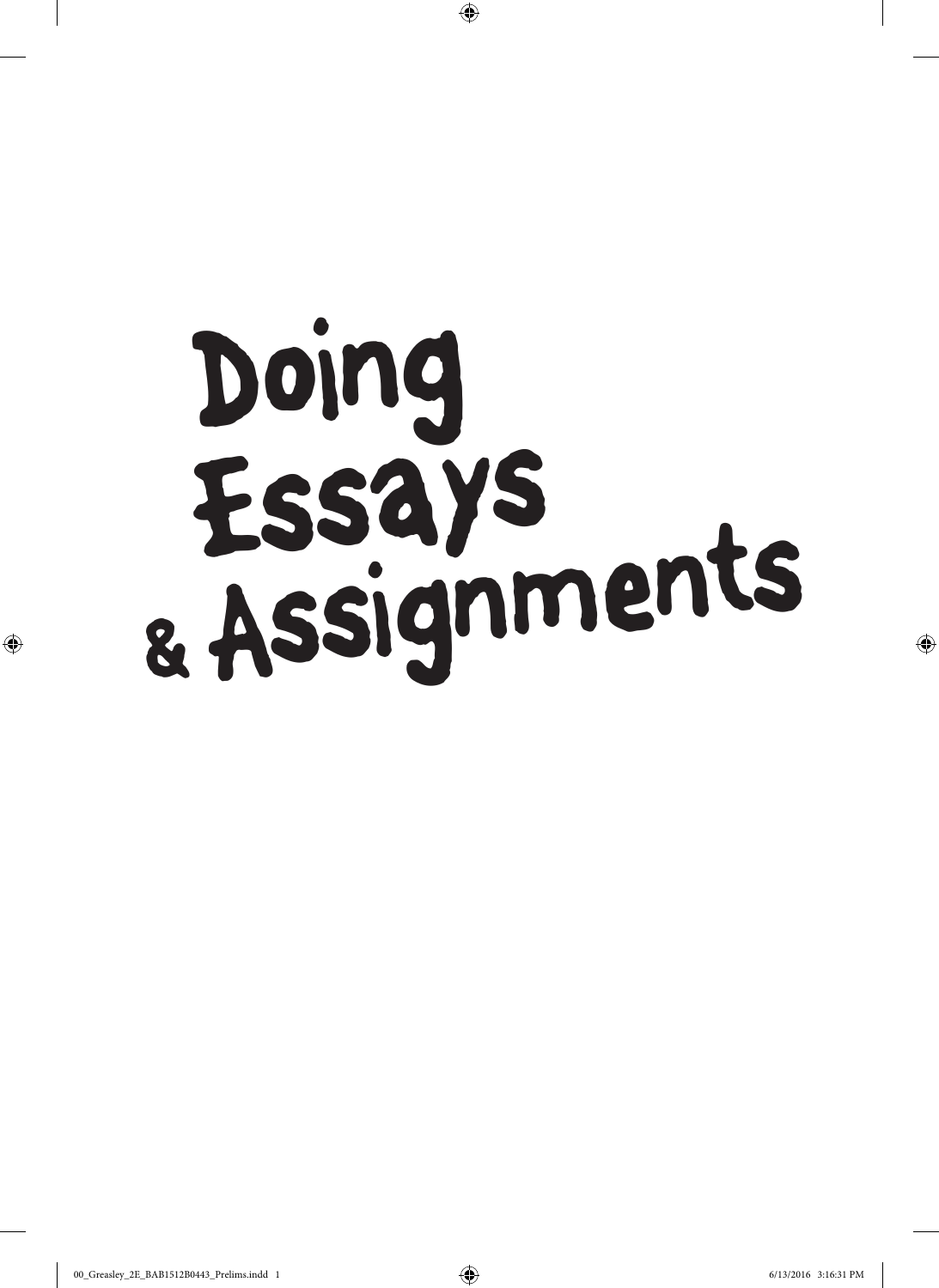# Doing Essays & Assignments

 $\bigoplus$ 

⊕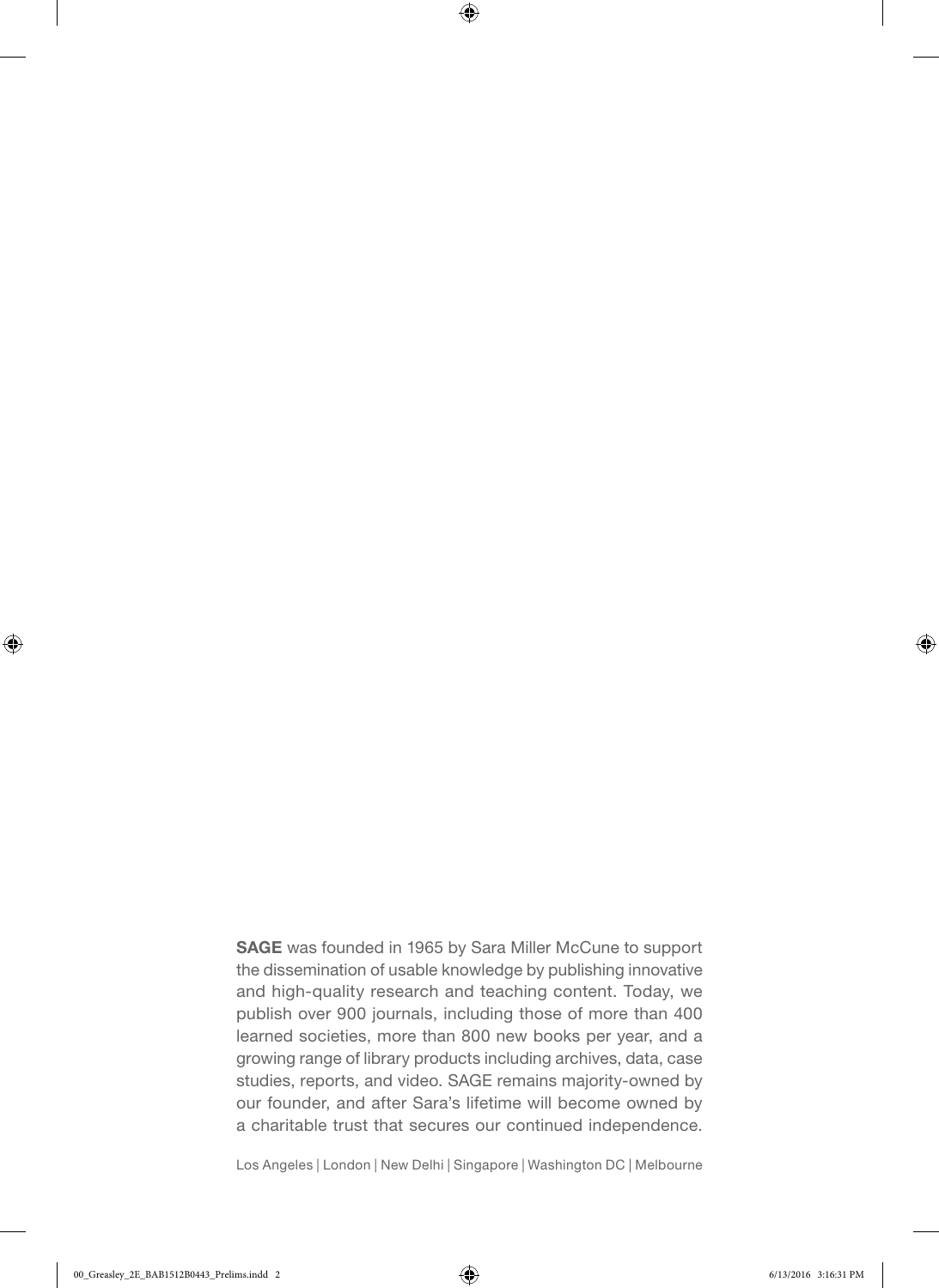SAGE was founded in 1965 by Sara Miller McCune to support the dissemination of usable knowledge by publishing innovative and high-quality research and teaching content. Today, we publish over 900 journals, including those of more than 400 learned societies, more than 800 new books per year, and a growing range of library products including archives, data, case studies, reports, and video. SAGE remains majority-owned by our founder, and after Sara's lifetime will become owned by a charitable trust that secures our continued independence.

 $\bigoplus$ 

Los Angeles | London | New Delhi | Singapore | Washington DC | Melbourne

 $\bigoplus$ 

 $\bigoplus$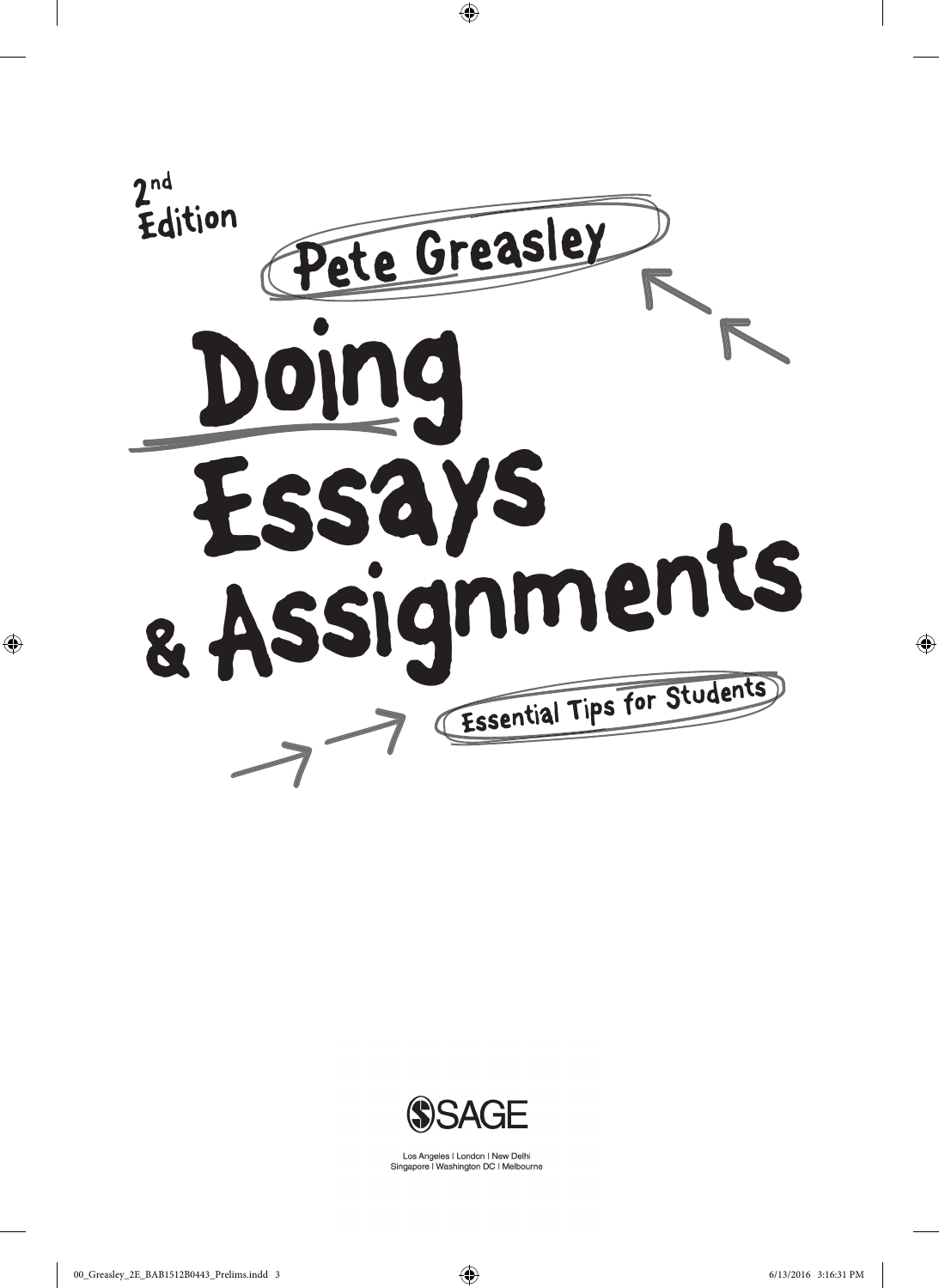

 $\bigoplus$ 



Los Angeles | London | New Delhi<br>Singapore | Washington DC | Melbourne

 $\bigoplus$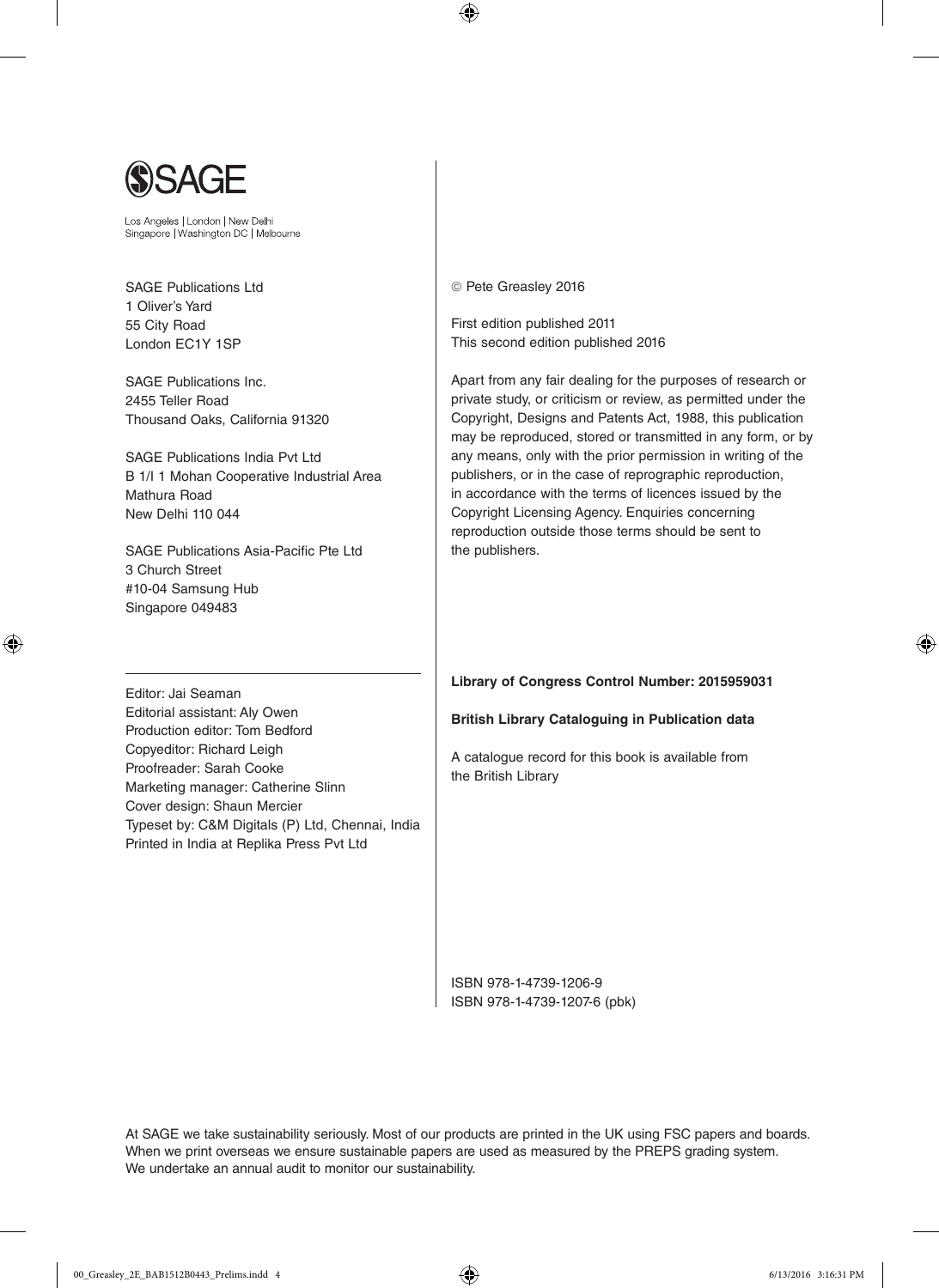

Los Angeles | London | New Delhi Singapore | Washington DC | Melbourne

SAGE Publications Ltd 1 Oliver's Yard 55 City Road London EC1Y 1SP

SAGE Publications Inc. 2455 Teller Road Thousand Oaks, California 91320

SAGE Publications India Pvt Ltd B 1/I 1 Mohan Cooperative Industrial Area Mathura Road New Delhi 110 044

SAGE Publications Asia-Pacific Pte Ltd 3 Church Street #10-04 Samsung Hub Singapore 049483

Editor: Jai Seaman

⊕

Editorial assistant: Aly Owen Production editor: Tom Bedford Copyeditor: Richard Leigh Proofreader: Sarah Cooke

Marketing manager: Catherine Slinn Cover design: Shaun Mercier

Typeset by: C&M Digitals (P) Ltd, Chennai, India Printed in India at Replika Press Pvt Ltd

Pete Greasley 2016

⊕

First edition published 2011 This second edition published 2016

Apart from any fair dealing for the purposes of research or private study, or criticism or review, as permitted under the Copyright, Designs and Patents Act, 1988, this publication may be reproduced, stored or transmitted in any form, or by any means, only with the prior permission in writing of the publishers, or in the case of reprographic reproduction, in accordance with the terms of licences issued by the Copyright Licensing Agency. Enquiries concerning reproduction outside those terms should be sent to the publishers.

# **Library of Congress Control Number: 2015959031**

### **British Library Cataloguing in Publication data**

A catalogue record for this book is available from the British Library

ISBN 978-1-4739-1206-9 ISBN 978-1-4739-1207-6 (pbk)

At SAGE we take sustainability seriously. Most of our products are printed in the UK using FSC papers and boards. When we print overseas we ensure sustainable papers are used as measured by the PREPS grading system. We undertake an annual audit to monitor our sustainability.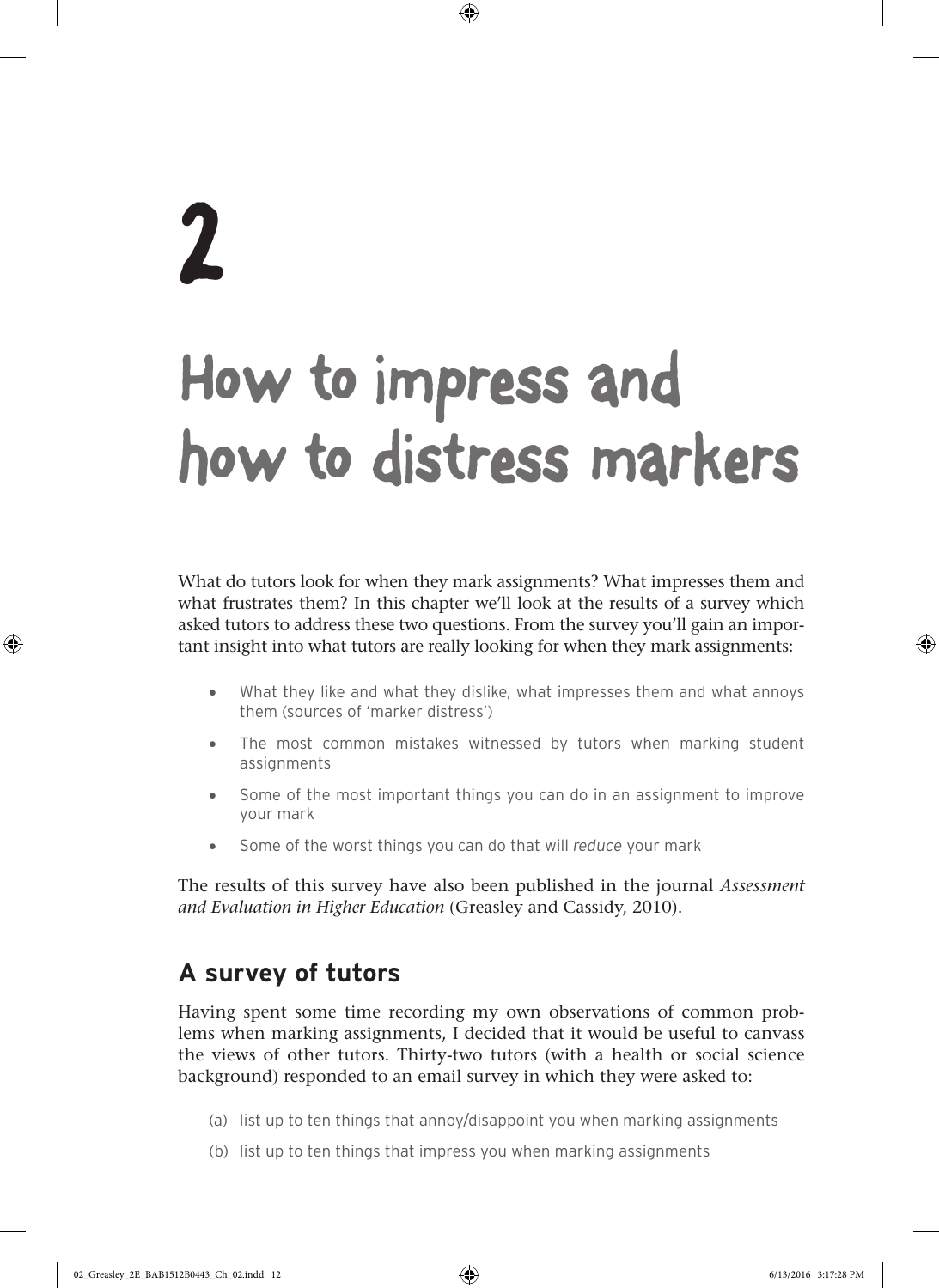# 2 How to impress and how to distress markers

 $\bigoplus$ 

What do tutors look for when they mark assignments? What impresses them and what frustrates them? In this chapter we'll look at the results of a survey which asked tutors to address these two questions. From the survey you'll gain an important insight into what tutors are really looking for when they mark assignments:

- What they like and what they dislike, what impresses them and what annoys them (sources of 'marker distress')
- The most common mistakes witnessed by tutors when marking student assignments
- Some of the most important things you can do in an assignment to improve your mark
- Some of the worst things you can do that will *reduce* your mark

The results of this survey have also been published in the journal *Assessment and Evaluation in Higher Education* (Greasley and Cassidy, 2010).

# **A survey of tutors**

Having spent some time recording my own observations of common problems when marking assignments, I decided that it would be useful to canvass the views of other tutors. Thirty-two tutors (with a health or social science background) responded to an email survey in which they were asked to:

- (a) list up to ten things that annoy/disappoint you when marking assignments
- (b) list up to ten things that impress you when marking assignments

02\_Greasley\_2E\_BAB1512B0443\_Ch\_02.indd 12 6/13/2016 3:17:28 PM

⊕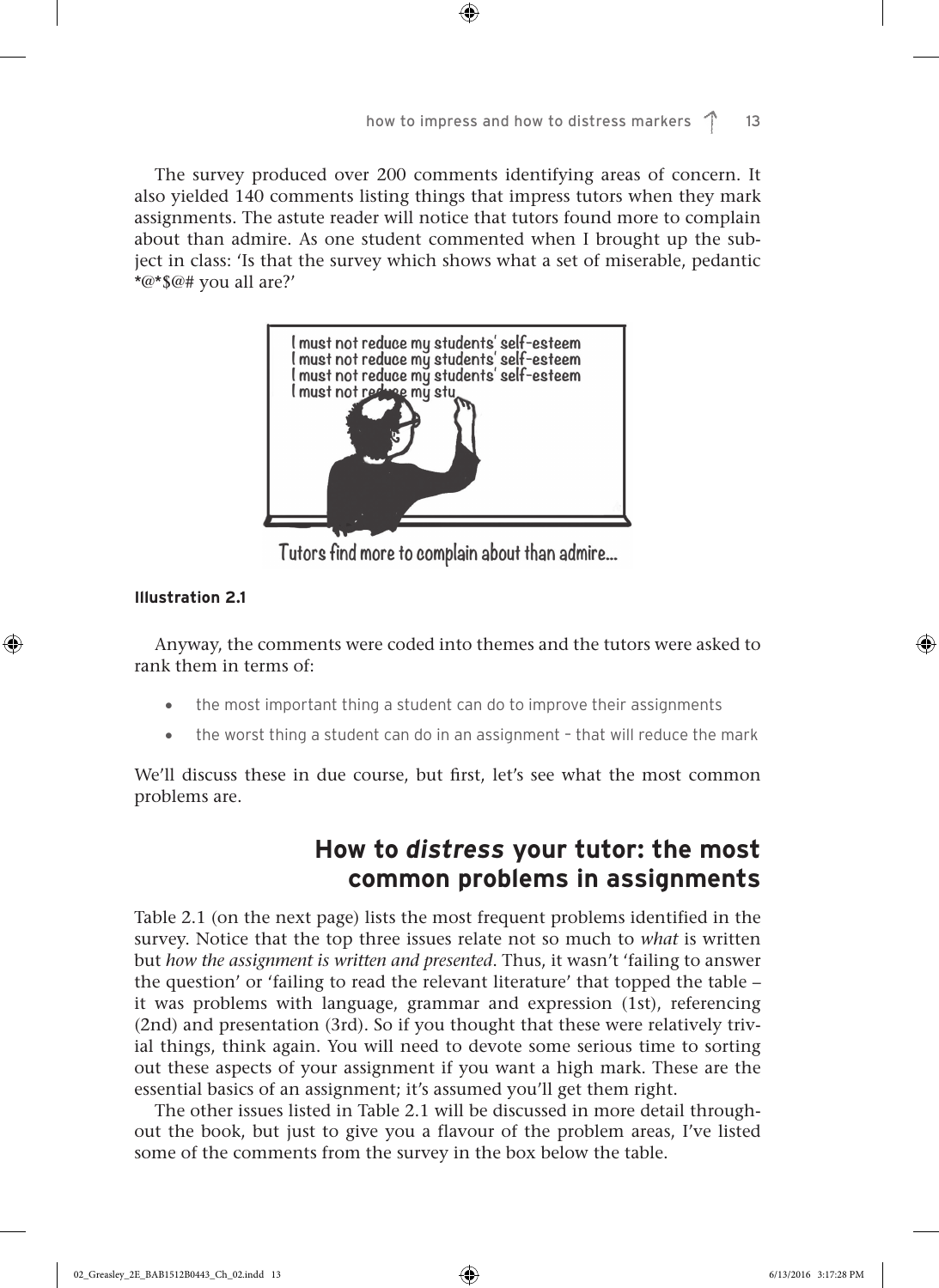# how to impress and how to distress markers  $\uparrow$  13

The survey produced over 200 comments identifying areas of concern. It also yielded 140 comments listing things that impress tutors when they mark assignments. The astute reader will notice that tutors found more to complain about than admire. As one student commented when I brought up the subject in class: 'Is that the survey which shows what a set of miserable, pedantic \*@\*\$@# you all are?'

 $\textcircled{\scriptsize{*}}$ 



Tutors find more to complain about than admire...

# **Illustration 2.1**

♠

Anyway, the comments were coded into themes and the tutors were asked to rank them in terms of:

- the most important thing a student can do to improve their assignments
- the worst thing a student can do in an assignment that will reduce the mark

We'll discuss these in due course, but first, let's see what the most common problems are.

# **How to** *distress* **your tutor: the most common problems in assignments**

Table 2.1 (on the next page) lists the most frequent problems identified in the survey. Notice that the top three issues relate not so much to *what* is written but *how the assignment is written and presented*. Thus, it wasn't 'failing to answer the question' or 'failing to read the relevant literature' that topped the table – it was problems with language, grammar and expression (1st), referencing (2nd) and presentation (3rd). So if you thought that these were relatively trivial things, think again. You will need to devote some serious time to sorting out these aspects of your assignment if you want a high mark. These are the essential basics of an assignment; it's assumed you'll get them right.

The other issues listed in Table 2.1 will be discussed in more detail throughout the book, but just to give you a flavour of the problem areas, I've listed some of the comments from the survey in the box below the table.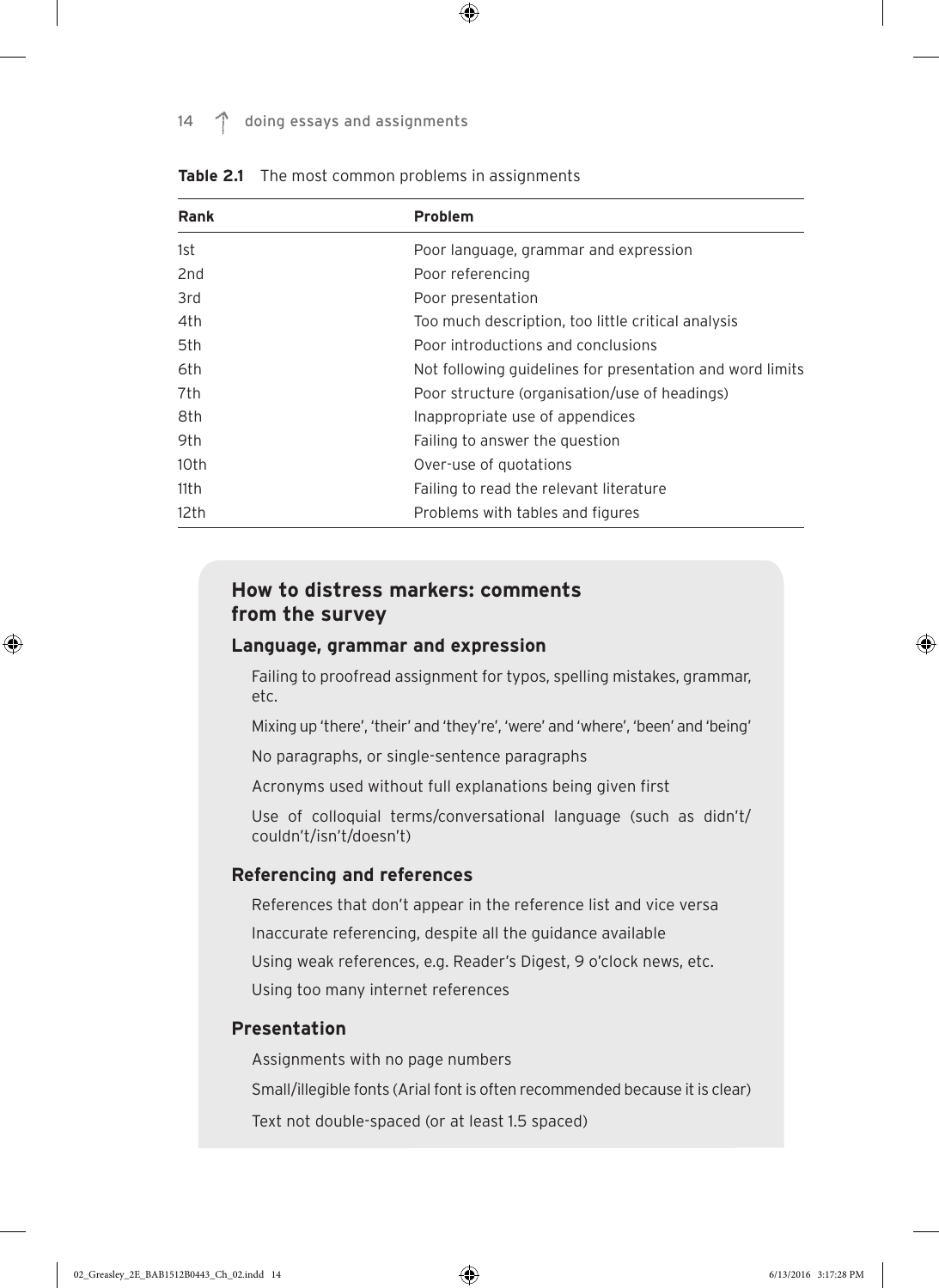| <b>Rank</b>     | <b>Problem</b>                                            |
|-----------------|-----------------------------------------------------------|
| 1st             | Poor language, grammar and expression                     |
| 2 <sub>nd</sub> | Poor referencing                                          |
| 3rd             | Poor presentation                                         |
| 4th             | Too much description, too little critical analysis        |
| 5th             | Poor introductions and conclusions                        |
| 6th             | Not following guidelines for presentation and word limits |
| 7th             | Poor structure (organisation/use of headings)             |
| 8th             | Inappropriate use of appendices                           |
| 9th.            | Failing to answer the question                            |
| 10th            | Over-use of quotations                                    |
| 11th            | Failing to read the relevant literature                   |
| 12th            | Problems with tables and figures                          |

 $\bigoplus$ 

| Table 2.1 The most common problems in assignments |  |  |  |
|---------------------------------------------------|--|--|--|
|                                                   |  |  |  |

# **How to distress markers: comments from the survey**

# **Language, grammar and expression**

Failing to proofread assignment for typos, spelling mistakes, grammar, etc.

Mixing up 'there', 'their' and 'they're', 'were' and 'where', 'been' and 'being'

No paragraphs, or single-sentence paragraphs

Acronyms used without full explanations being given first

Use of colloquial terms/conversational language (such as didn't/ couldn't/isn't/doesn't)

# **Referencing and references**

References that don't appear in the reference list and vice versa Inaccurate referencing, despite all the guidance available Using weak references, e.g. Reader's Digest, 9 o'clock news, etc. Using too many internet references

# **Presentation**

Assignments with no page numbers Small/illegible fonts (Arial font is often recommended because it is clear) Text not double-spaced (or at least 1.5 spaced)

⊕

<sup>14 &</sup>lt;sup>1</sup> doing essays and assignments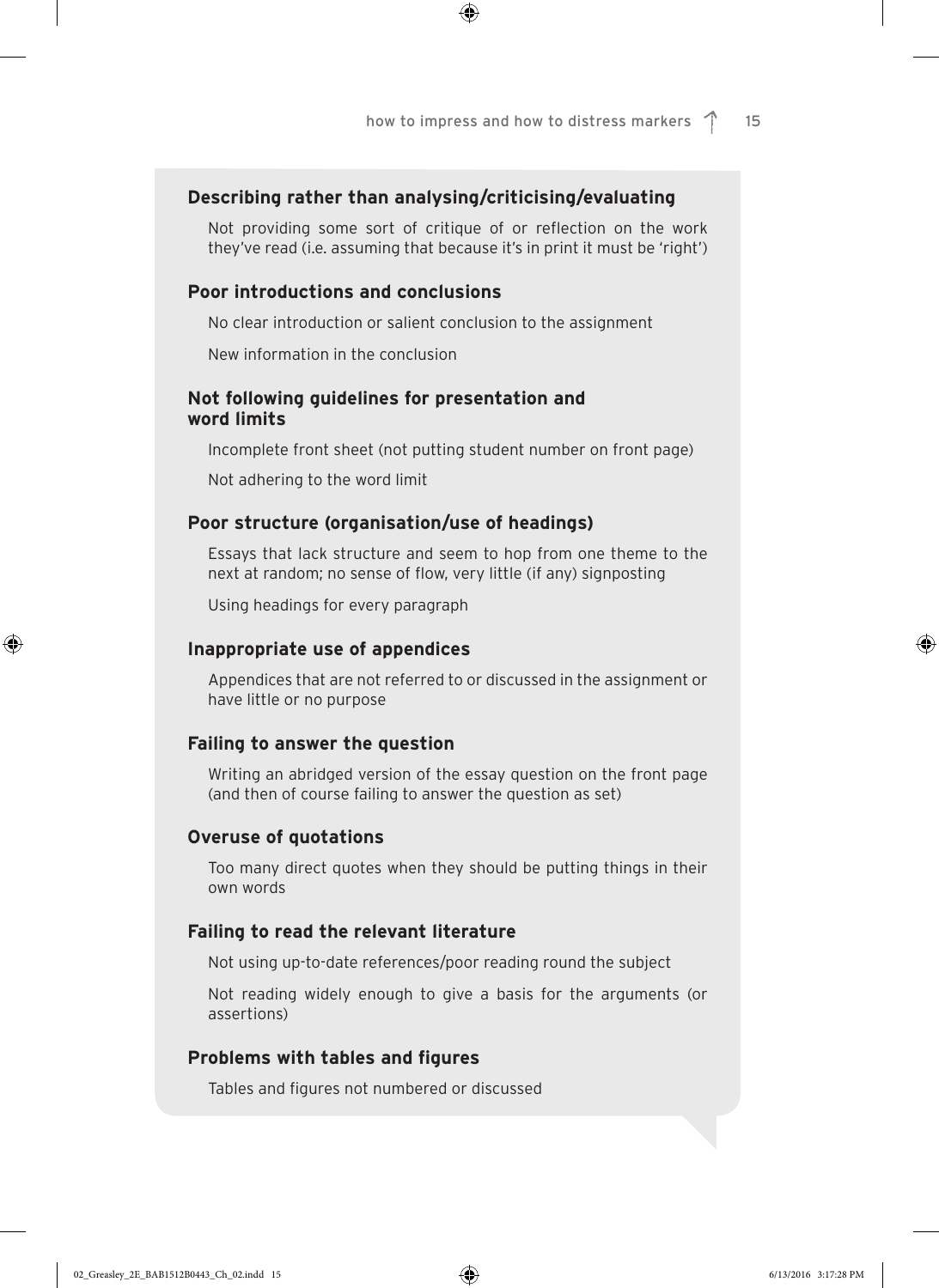# **Describing rather than analysing/criticising/evaluating**

Not providing some sort of critique of or reflection on the work they've read (i.e. assuming that because it's in print it must be 'right')

 $\bigoplus$ 

# **Poor introductions and conclusions**

No clear introduction or salient conclusion to the assignment

New information in the conclusion

# **Not following guidelines for presentation and word limits**

Incomplete front sheet (not putting student number on front page)

Not adhering to the word limit

# **Poor structure (organisation/use of headings)**

Essays that lack structure and seem to hop from one theme to the next at random; no sense of flow, very little (if any) signposting

Using headings for every paragraph

# **Inappropriate use of appendices**

Appendices that are not referred to or discussed in the assignment or have little or no purpose

# **Failing to answer the question**

Writing an abridged version of the essay question on the front page (and then of course failing to answer the question as set)

# **Overuse of quotations**

Too many direct quotes when they should be putting things in their own words

# **Failing to read the relevant literature**

Not using up-to-date references/poor reading round the subject

Not reading widely enough to give a basis for the arguments (or assertions)

# **Problems with tables and figures**

Tables and figures not numbered or discussed

⊕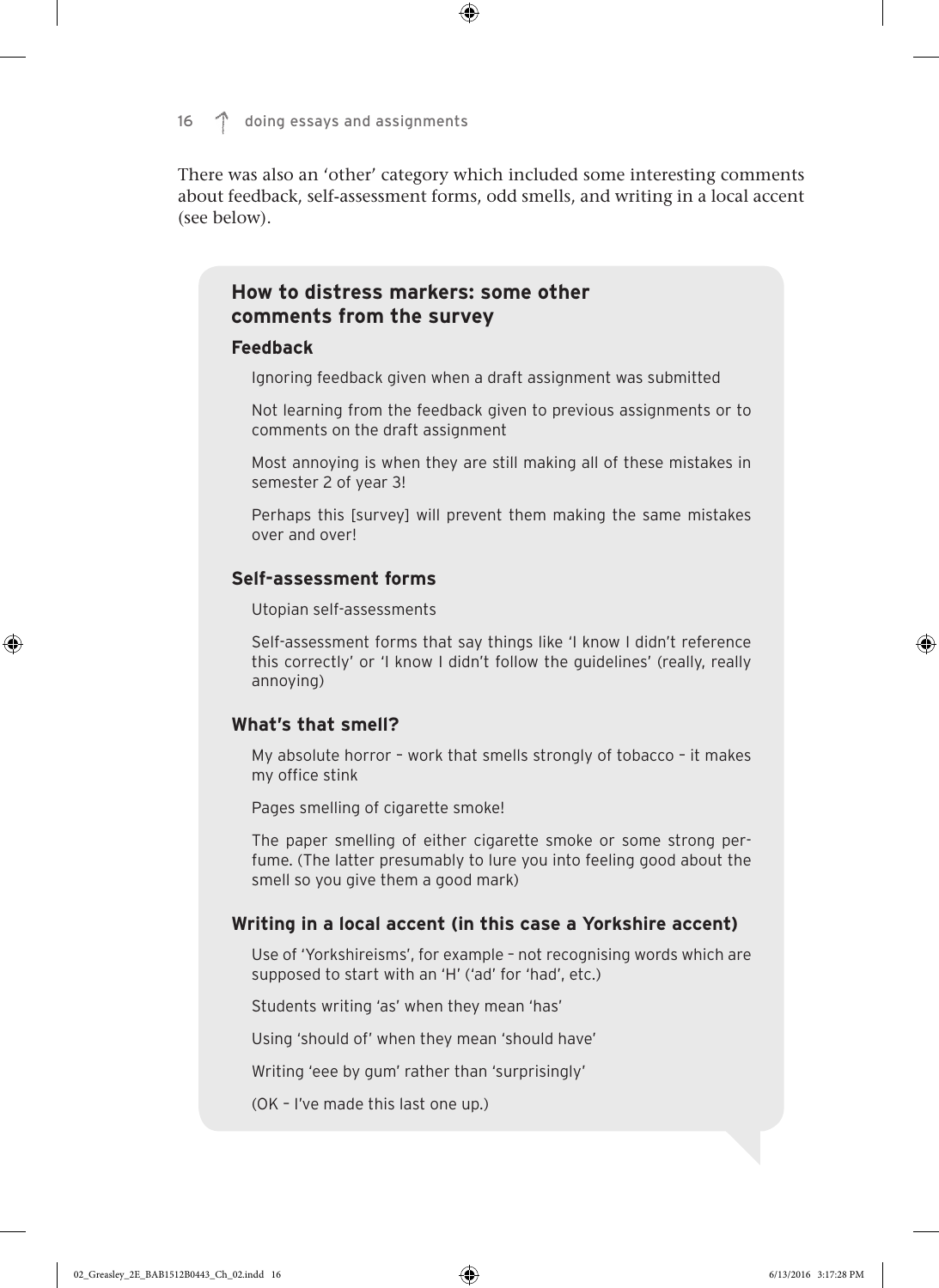There was also an 'other' category which included some interesting comments about feedback, self-assessment forms, odd smells, and writing in a local accent (see below).

 $\bigoplus$ 

# **How to distress markers: some other comments from the survey**

# **Feedback**

Ignoring feedback given when a draft assignment was submitted

Not learning from the feedback given to previous assignments or to comments on the draft assignment

Most annoying is when they are still making all of these mistakes in semester 2 of year 3!

Perhaps this [survey] will prevent them making the same mistakes over and over!

# **Self-assessment forms**

Utopian self-assessments

Self-assessment forms that say things like 'I know I didn't reference this correctly' or 'I know I didn't follow the guidelines' (really, really annoying)

### **What's that smell?**

My absolute horror – work that smells strongly of tobacco – it makes my office stink

Pages smelling of cigarette smoke!

The paper smelling of either cigarette smoke or some strong perfume. (The latter presumably to lure you into feeling good about the smell so you give them a good mark)

# **Writing in a local accent (in this case a Yorkshire accent)**

Use of 'Yorkshireisms', for example – not recognising words which are supposed to start with an 'H' ('ad' for 'had', etc.)

Students writing 'as' when they mean 'has'

Using 'should of' when they mean 'should have'

Writing 'eee by gum' rather than 'surprisingly'

(OK – I've made this last one up.)

⊕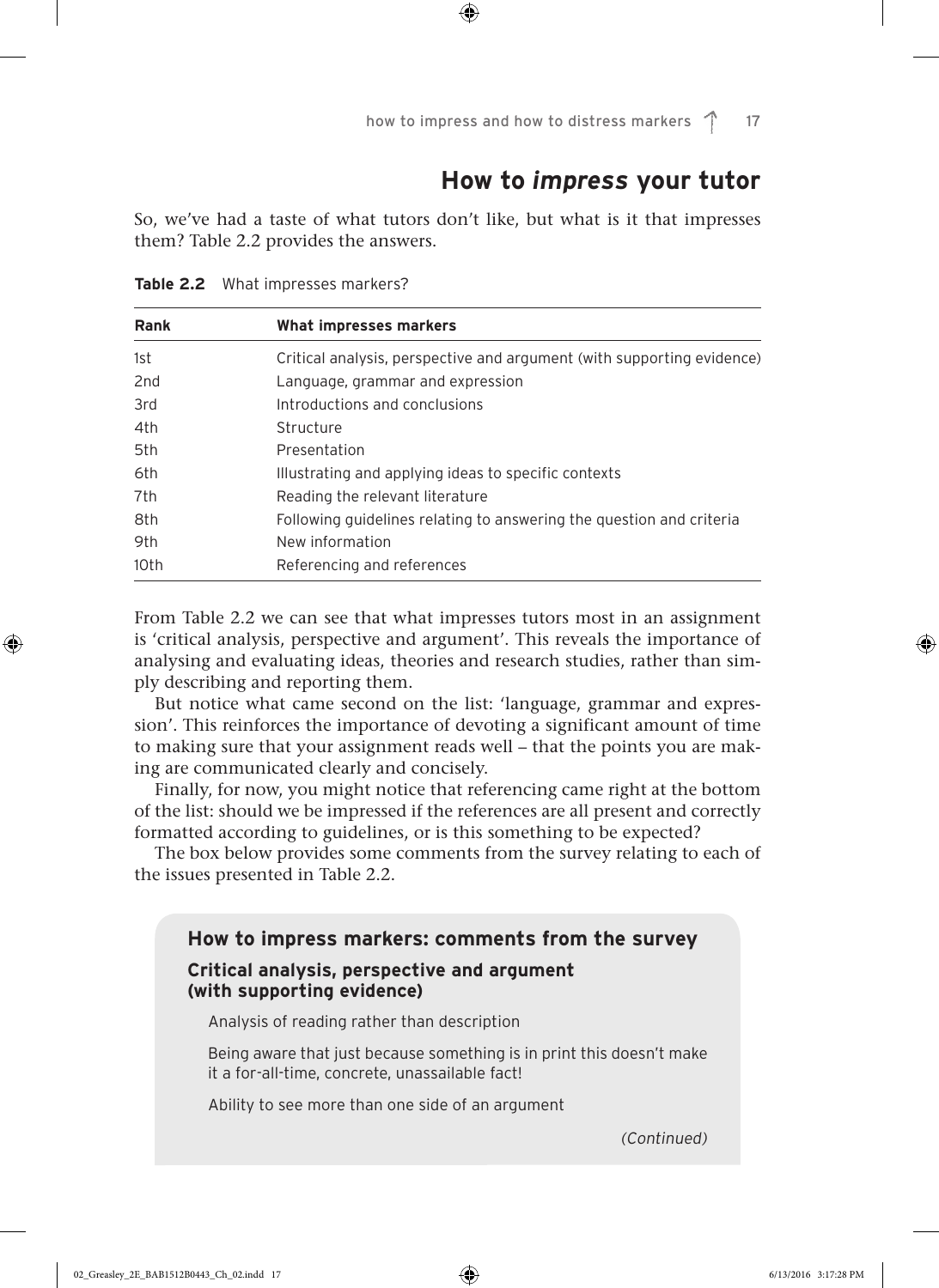# **How to** *impress* **your tutor**

So, we've had a taste of what tutors don't like, but what is it that impresses them? Table 2.2 provides the answers.

 $\bigoplus$ 

| Rank            | What impresses markers                                                 |
|-----------------|------------------------------------------------------------------------|
| 1st             | Critical analysis, perspective and argument (with supporting evidence) |
| 2 <sub>nd</sub> | Language, grammar and expression                                       |
| 3rd             | Introductions and conclusions                                          |
| 4th             | Structure                                                              |
| 5th             | Presentation                                                           |
| 6th             | Illustrating and applying ideas to specific contexts                   |
| 7th             | Reading the relevant literature                                        |
| 8th             | Following guidelines relating to answering the question and criteria   |
| 9th             | New information                                                        |
| 10th            | Referencing and references                                             |

**Table 2.2** What impresses markers?

From Table 2.2 we can see that what impresses tutors most in an assignment is 'critical analysis, perspective and argument'. This reveals the importance of analysing and evaluating ideas, theories and research studies, rather than simply describing and reporting them.

But notice what came second on the list: 'language, grammar and expression'. This reinforces the importance of devoting a significant amount of time to making sure that your assignment reads well – that the points you are making are communicated clearly and concisely.

Finally, for now, you might notice that referencing came right at the bottom of the list: should we be impressed if the references are all present and correctly formatted according to guidelines, or is this something to be expected?

The box below provides some comments from the survey relating to each of the issues presented in Table 2.2.



Being aware that just because something is in print this doesn't make it a for-all-time, concrete, unassailable fact!

Ability to see more than one side of an argument

*(Continued)*

02\_Greasley\_2E\_BAB1512B0443\_Ch\_02.indd 17 6/13/2016 3:17:28 PM

⊕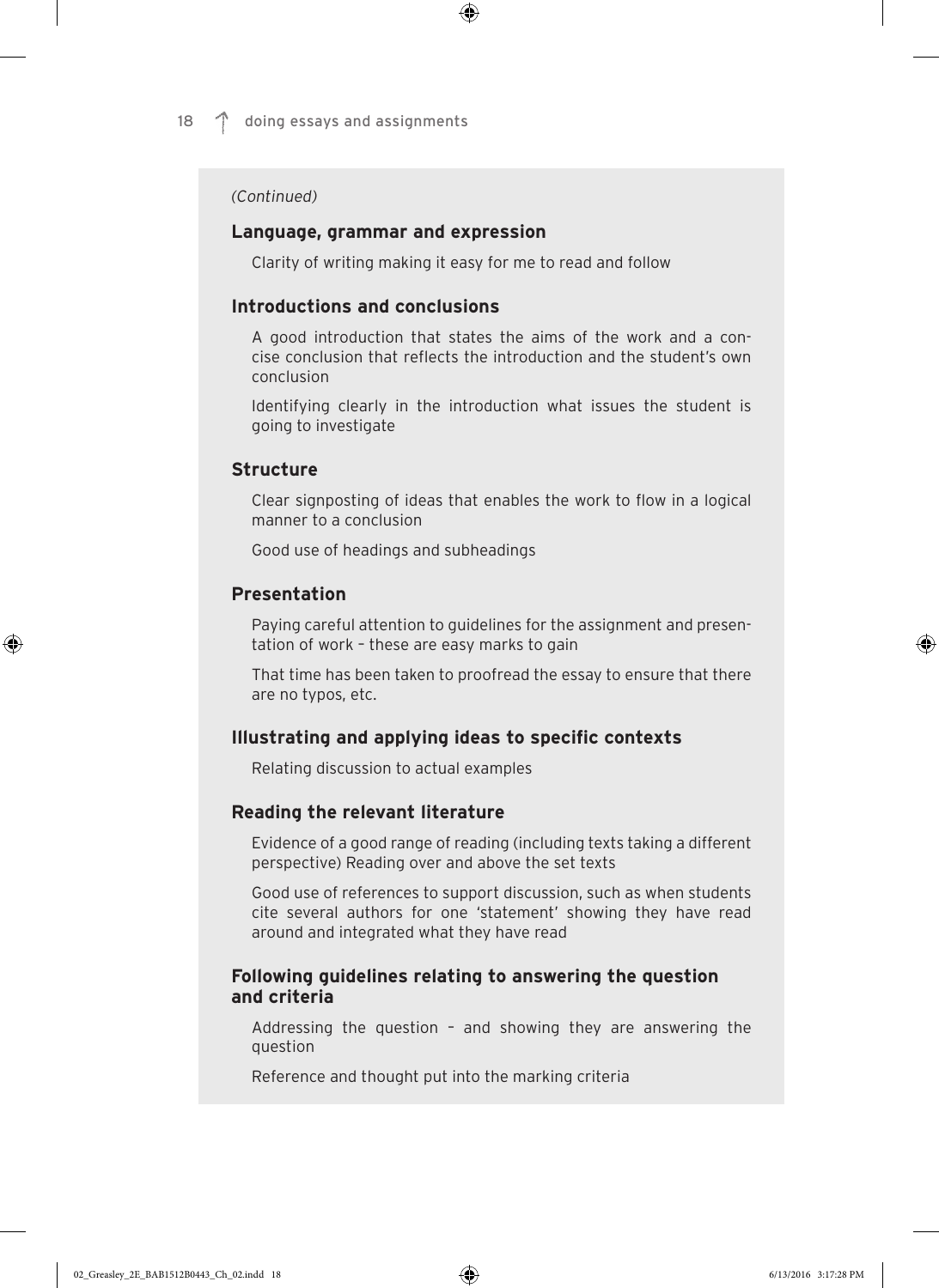### *(Continued)*

# **Language, grammar and expression**

Clarity of writing making it easy for me to read and follow

 $\bigoplus$ 

# **Introductions and conclusions**

A good introduction that states the aims of the work and a concise conclusion that reflects the introduction and the student's own conclusion

Identifying clearly in the introduction what issues the student is going to investigate

# **Structure**

Clear signposting of ideas that enables the work to flow in a logical manner to a conclusion

Good use of headings and subheadings

# **Presentation**

⊕

Paying careful attention to guidelines for the assignment and presentation of work – these are easy marks to gain

That time has been taken to proofread the essay to ensure that there are no typos, etc.

### **Illustrating and applying ideas to specific contexts**

Relating discussion to actual examples

# **Reading the relevant literature**

Evidence of a good range of reading (including texts taking a different perspective) Reading over and above the set texts

Good use of references to support discussion, such as when students cite several authors for one 'statement' showing they have read around and integrated what they have read

# **Following guidelines relating to answering the question and criteria**

Addressing the question – and showing they are answering the question

Reference and thought put into the marking criteria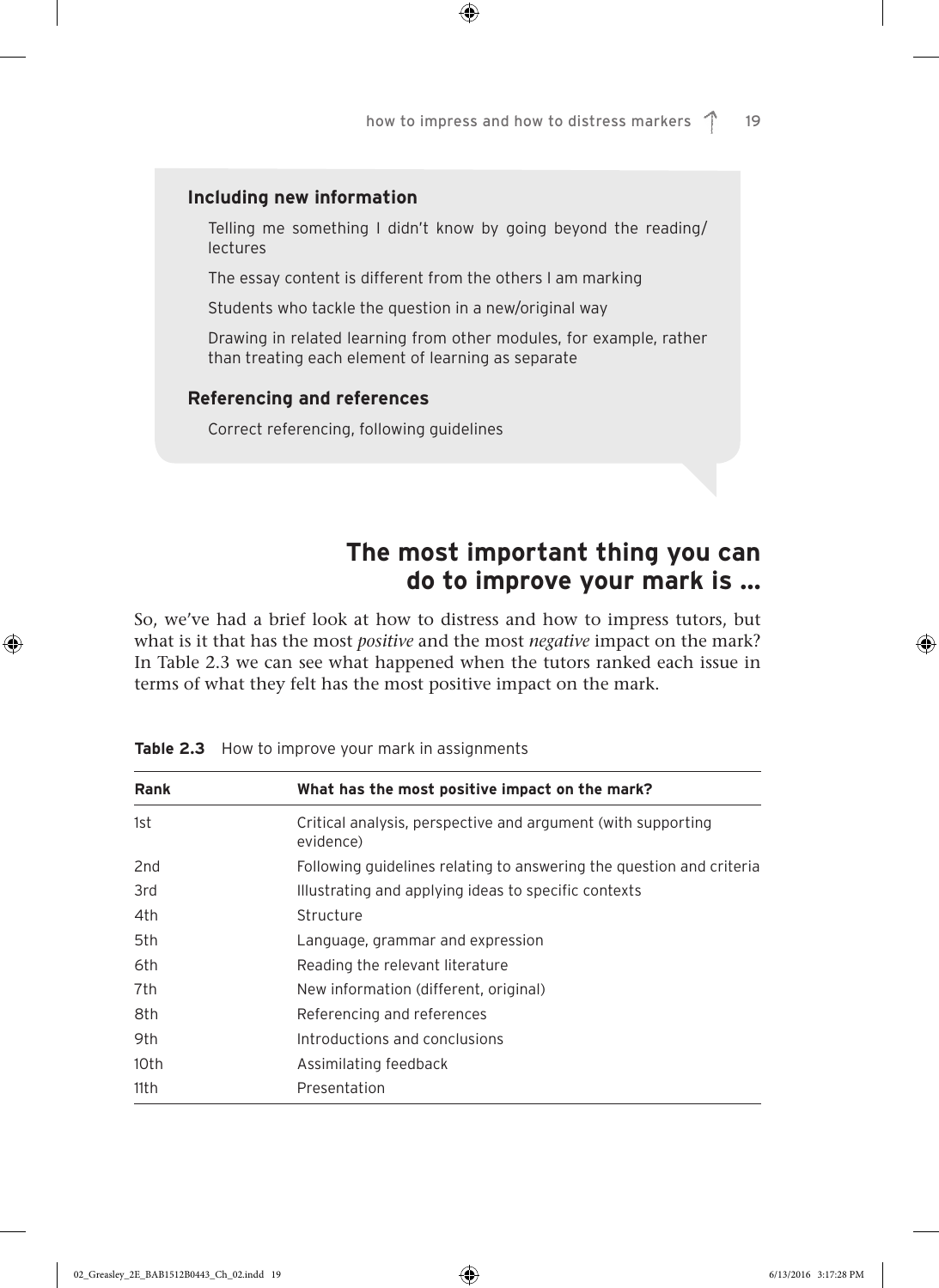# **Including new information**

Telling me something I didn't know by going beyond the reading/ lectures

 $\bigoplus$ 

The essay content is different from the others I am marking

Students who tackle the question in a new/original way

Drawing in related learning from other modules, for example, rather than treating each element of learning as separate

### **Referencing and references**

Correct referencing, following guidelines

# **The most important thing you can do to improve your mark is …**

So, we've had a brief look at how to distress and how to impress tutors, but what is it that has the most *positive* and the most *negative* impact on the mark? In Table 2.3 we can see what happened when the tutors ranked each issue in terms of what they felt has the most positive impact on the mark.

| <b>Rank</b> | What has the most positive impact on the mark?                            |
|-------------|---------------------------------------------------------------------------|
| 1st         | Critical analysis, perspective and argument (with supporting<br>evidence) |
| 2nd         | Following guidelines relating to answering the question and criteria      |
| 3rd         | Illustrating and applying ideas to specific contexts                      |
| 4th         | Structure                                                                 |
| 5th         | Language, grammar and expression                                          |
| 6th         | Reading the relevant literature                                           |
| 7th         | New information (different, original)                                     |
| 8th         | Referencing and references                                                |
| 9th         | Introductions and conclusions                                             |
| 10th        | Assimilating feedback                                                     |
| 11th        | Presentation                                                              |

Table 2.3 How to improve your mark in assignments

⊕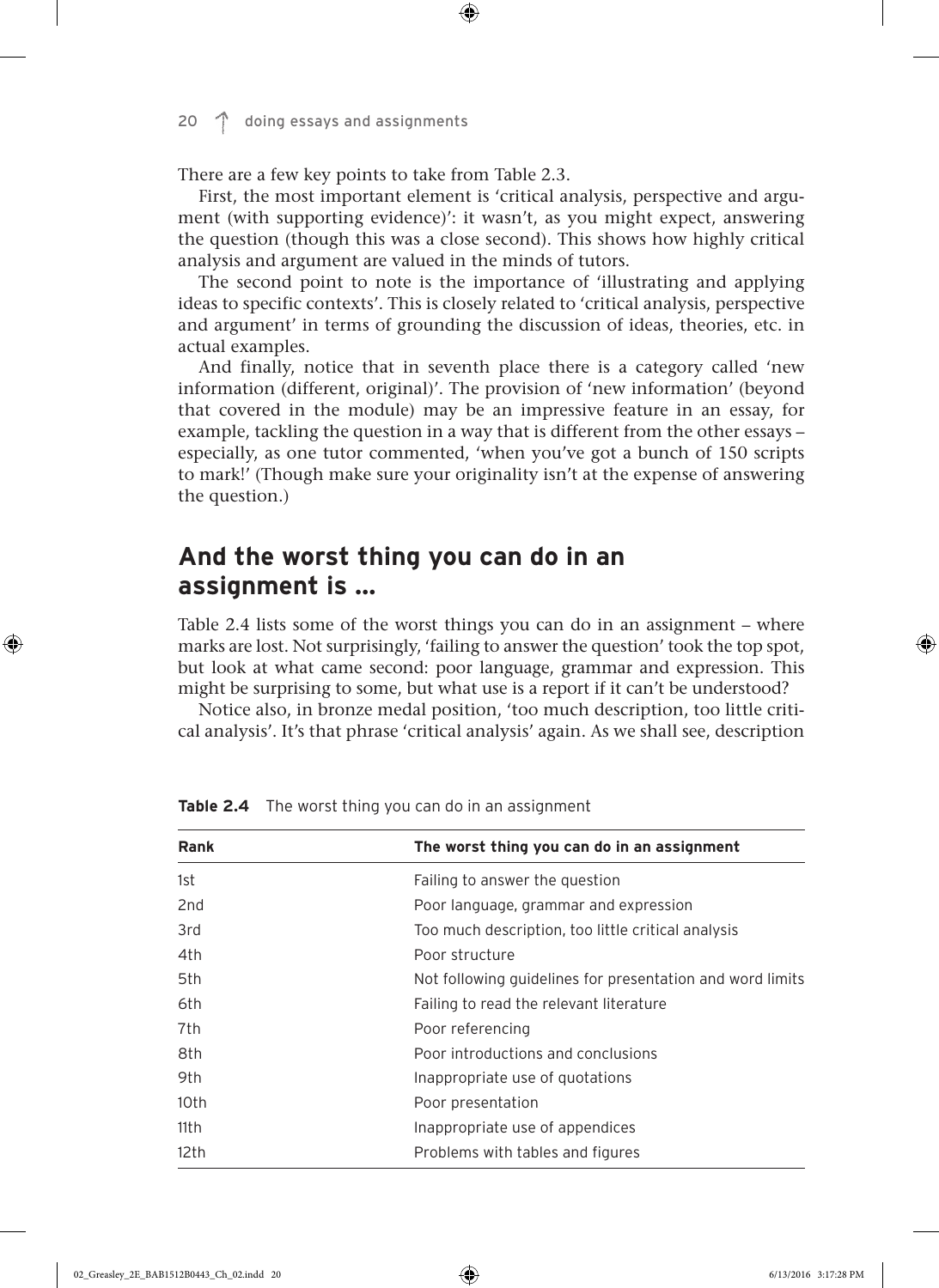There are a few key points to take from Table 2.3.

First, the most important element is 'critical analysis, perspective and argument (with supporting evidence)': it wasn't, as you might expect, answering the question (though this was a close second). This shows how highly critical analysis and argument are valued in the minds of tutors.

⊕

The second point to note is the importance of 'illustrating and applying ideas to specific contexts'. This is closely related to 'critical analysis, perspective and argument' in terms of grounding the discussion of ideas, theories, etc. in actual examples.

And finally, notice that in seventh place there is a category called 'new information (different, original)'. The provision of 'new information' (beyond that covered in the module) may be an impressive feature in an essay, for example, tackling the question in a way that is different from the other essays – especially, as one tutor commented, 'when you've got a bunch of 150 scripts to mark!' (Though make sure your originality isn't at the expense of answering the question.)

# **And the worst thing you can do in an assignment is …**

Table 2.4 lists some of the worst things you can do in an assignment – where marks are lost. Not surprisingly, 'failing to answer the question' took the top spot, but look at what came second: poor language, grammar and expression. This might be surprising to some, but what use is a report if it can't be understood?

Notice also, in bronze medal position, 'too much description, too little critical analysis'. It's that phrase 'critical analysis' again. As we shall see, description

| <b>Rank</b><br>The worst thing you can do in an assignment |                                                           |  |  |  |
|------------------------------------------------------------|-----------------------------------------------------------|--|--|--|
| 1st                                                        | Failing to answer the question                            |  |  |  |
| 2 <sub>nd</sub>                                            | Poor language, grammar and expression                     |  |  |  |
| 3rd                                                        | Too much description, too little critical analysis        |  |  |  |
| 4th                                                        | Poor structure                                            |  |  |  |
| 5th                                                        | Not following quidelines for presentation and word limits |  |  |  |
| 6th                                                        | Failing to read the relevant literature                   |  |  |  |
| 7th                                                        | Poor referencing                                          |  |  |  |
| 8th                                                        | Poor introductions and conclusions                        |  |  |  |
| 9th                                                        | Inappropriate use of quotations                           |  |  |  |
| 10th                                                       | Poor presentation                                         |  |  |  |
| 11th                                                       | Inappropriate use of appendices                           |  |  |  |
| 12th                                                       | Problems with tables and figures                          |  |  |  |

**Table 2.4** The worst thing you can do in an assignment

♠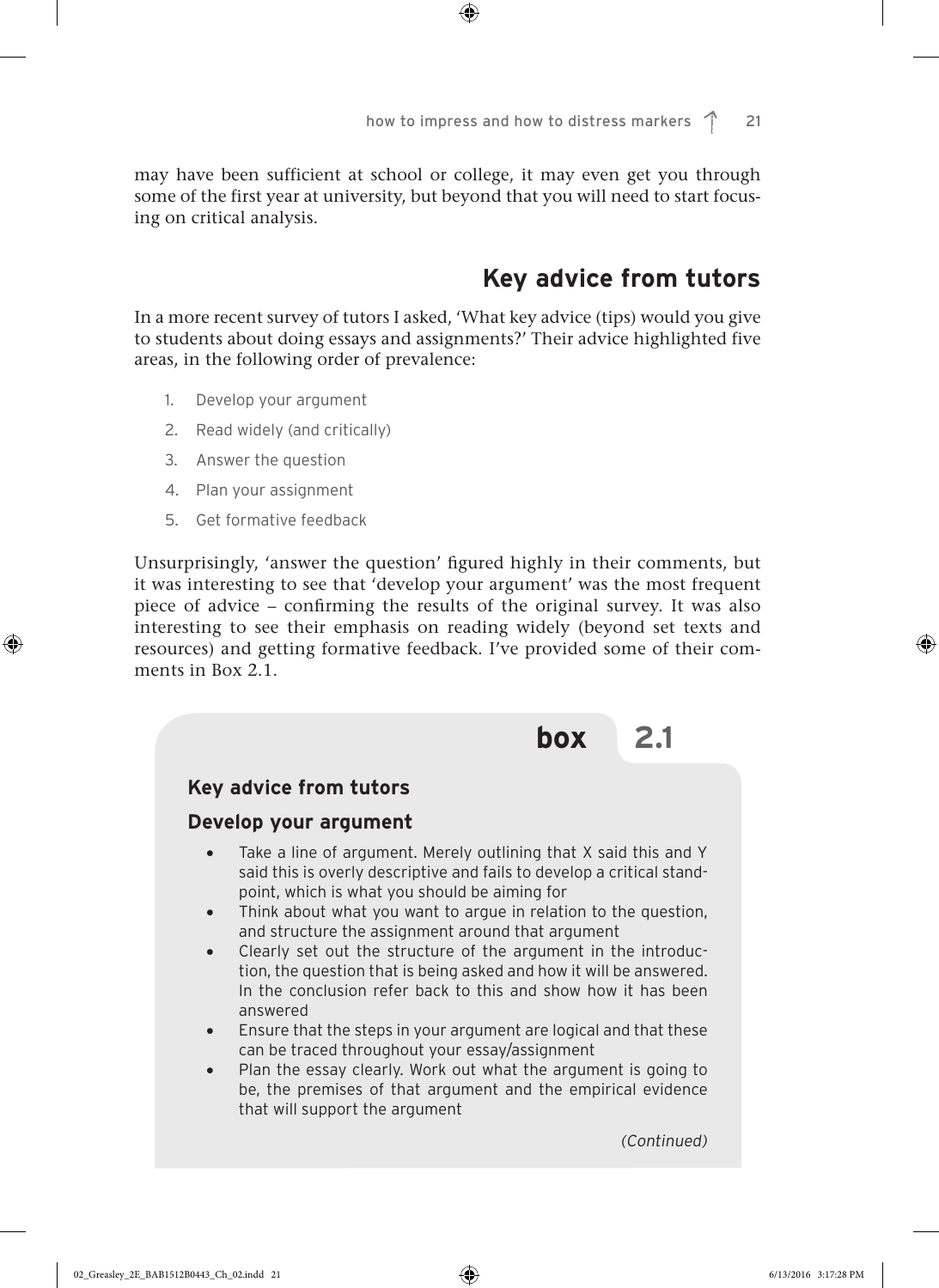may have been sufficient at school or college, it may even get you through some of the first year at university, but beyond that you will need to start focusing on critical analysis.

 $\bigoplus$ 

# **Key advice from tutors**

In a more recent survey of tutors I asked, 'What key advice (tips) would you give to students about doing essays and assignments?' Their advice highlighted five areas, in the following order of prevalence:

- 1. Develop your argument
- 2. Read widely (and critically)
- 3. Answer the question
- 4. Plan your assignment
- 5. Get formative feedback

⊕

Unsurprisingly, 'answer the question' figured highly in their comments, but it was interesting to see that 'develop your argument' was the most frequent piece of advice – confirming the results of the original survey. It was also interesting to see their emphasis on reading widely (beyond set texts and resources) and getting formative feedback. I've provided some of their comments in Box 2.1.

**box 2.1**

# **Key advice from tutors**

# **Develop your argument**

- Take a line of argument. Merely outlining that X said this and Y said this is overly descriptive and fails to develop a critical standpoint, which is what you should be aiming for
- Think about what you want to argue in relation to the question, and structure the assignment around that argument
- Clearly set out the structure of the argument in the introduction, the question that is being asked and how it will be answered. In the conclusion refer back to this and show how it has been answered
- Ensure that the steps in your argument are logical and that these can be traced throughout your essay/assignment
- Plan the essay clearly. Work out what the argument is going to be, the premises of that argument and the empirical evidence that will support the argument

*(Continued)*

02\_Greasley\_2E\_BAB1512B0443\_Ch\_02.indd 21 6/13/2016 3:17:28 PM